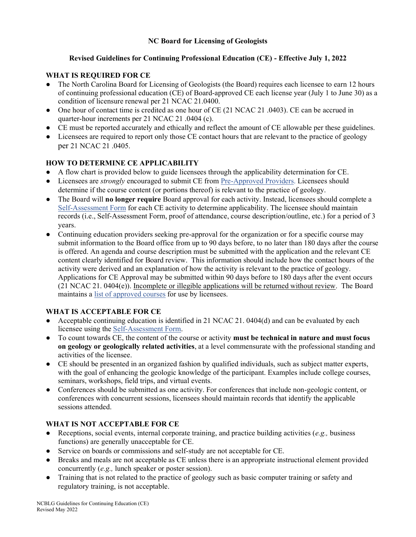#### **NC Board for Licensing of Geologists**

#### **Revised Guidelines for Continuing Professional Education (CE) - Effective July 1, 2022**

#### **WHAT IS REQUIRED FOR CE**

- The North Carolina Board for Licensing of Geologists (the Board) requires each licensee to earn 12 hours of continuing professional education (CE) of Board-approved CE each license year (July 1 to June 30) as a condition of licensure renewal per 21 NCAC 21.0400.
- One hour of contact time is credited as one hour of CE (21 NCAC 21 .0403). CE can be accrued in quarter-hour increments per 21 NCAC 21 .0404 (c).
- CE must be reported accurately and ethically and reflect the amount of CE allowable per these guidelines.
- Licensees are required to report only those CE contact hours that are relevant to the practice of geology per 21 NCAC 21 .0405.

#### **HOW TO DETERMINE CE APPLICABILITY**

- A flow chart is provided below to guide licensees through the applicability determination for CE.
- Licensees are *strongly* encouraged to submit CE from [Pre-Approved Providers.](https://www.ncblg.org/images/uploads/files/NCBLG_PreApproved_Providers_April2022.pdf) Licensees should determine if the course content (or portions thereof) is relevant to the practice of geology.
- The Board will **no longer require** Board approval for each activity. Instead, licensees should complete a [Self-Assessment Form](https://www.ncblg.org/images/uploads/files/NCBLG_CE_Self_Assessment_2022.pdf) for each CE activity to determine applicability. The licensee should maintain records (i.e., Self-Assessment Form, proof of attendance, course description/outline, etc.) for a period of 3 years.
- Continuing education providers seeking pre-approval for the organization or for a specific course may submit information to the Board office from up to 90 days before, to no later than 180 days after the course is offered. An agenda and course description must be submitted with the application and the relevant CE content clearly identified for Board review. This information should include how the contact hours of the activity were derived and an explanation of how the activity is relevant to the practice of geology. Applications for CE Approval may be submitted within 90 days before to 180 days after the event occurs (21 NCAC 21. 0404(e)). Incomplete or illegible applications will be returned without review. The Board maintains a list of [approved courses](https://www.ncblg.org/resources/approved-continuing-ed-database) for use by licensees.

# **WHAT IS ACCEPTABLE FOR CE**

- Acceptable continuing education is identified in 21 NCAC 21. 0404(d) and can be evaluated by each licensee using the [Self-Assessment Form.](https://www.ncblg.org/images/uploads/files/NCBLG_CE_Self_Assessment_2022.pdf)
- To count towards CE, the content of the course or activity **must be technical in nature and must focus on geology or geologically related activities**, at a level commensurate with the professional standing and activities of the licensee.
- CE should be presented in an organized fashion by qualified individuals, such as subject matter experts, with the goal of enhancing the geologic knowledge of the participant. Examples include college courses, seminars, workshops, field trips, and virtual events.
- Conferences should be submitted as one activity. For conferences that include non-geologic content, or conferences with concurrent sessions, licensees should maintain records that identify the applicable sessions attended.

#### **WHAT IS NOT ACCEPTABLE FOR CE**

- Receptions, social events, internal corporate training, and practice building activities (*e.g.,* business functions) are generally unacceptable for CE.
- Service on boards or commissions and self-study are not acceptable for CE.
- Breaks and meals are not acceptable as CE unless there is an appropriate instructional element provided concurrently (*e.g.,* lunch speaker or poster session).
- Training that is not related to the practice of geology such as basic computer training or safety and regulatory training, is not acceptable.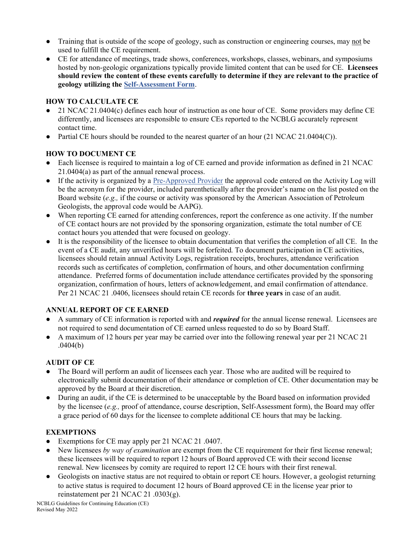- Training that is outside of the scope of geology, such as construction or engineering courses, may not be used to fulfill the CE requirement.
- CE for attendance of meetings, trade shows, conferences, workshops, classes, webinars, and symposiums hosted by non-geologic organizations typically provide limited content that can be used for CE. **Licensees should review the content of these events carefully to determine if they are relevant to the practice of geology utilizing th[e Self-Assessment Form](https://www.ncblg.org/images/uploads/files/NCBLG_CE_Self_Assessment_2022.pdf)**.

#### **HOW TO CALCULATE CE**

- 21 NCAC 21.0404(c) defines each hour of instruction as one hour of CE. Some providers may define CE differently, and licensees are responsible to ensure CEs reported to the NCBLG accurately represent contact time.
- Partial CE hours should be rounded to the nearest quarter of an hour  $(21 \text{ NCAC } 21.0404(C))$ .

# **HOW TO DOCUMENT CE**

- Each licensee is required to maintain a log of CE earned and provide information as defined in 21 NCAC 21.0404(a) as part of the annual renewal process.
- If the activity is organized by a [Pre-Approved Provider](https://www.ncblg.org/images/uploads/files/NCBLG_PreApproved_Providers_April2022.pdf) the approval code entered on the Activity Log will be the acronym for the provider, included parenthetically after the provider's name on the list posted on the Board website (*e.g.,* if the course or activity was sponsored by the American Association of Petroleum Geologists, the approval code would be AAPG).
- When reporting CE earned for attending conferences, report the conference as one activity. If the number of CE contact hours are not provided by the sponsoring organization, estimate the total number of CE contact hours you attended that were focused on geology.
- It is the responsibility of the licensee to obtain documentation that verifies the completion of all CE. In the event of a CE audit, any unverified hours will be forfeited. To document participation in CE activities, licensees should retain annual Activity Logs, registration receipts, brochures, attendance verification records such as certificates of completion, confirmation of hours, and other documentation confirming attendance. Preferred forms of documentation include attendance certificates provided by the sponsoring organization, confirmation of hours, letters of acknowledgement, and email confirmation of attendance. Per 21 NCAC 21 .0406, licensees should retain CE records for **three years** in case of an audit.

# **ANNUAL REPORT OF CE EARNED**

- A summary of CE information is reported with and *required* for the annual license renewal. Licensees are not required to send documentation of CE earned unless requested to do so by Board Staff.
- A maximum of 12 hours per year may be carried over into the following renewal year per 21 NCAC 21 .0404(b)

# **AUDIT OF CE**

- The Board will perform an audit of licensees each year. Those who are audited will be required to electronically submit documentation of their attendance or completion of CE. Other documentation may be approved by the Board at their discretion.
- During an audit, if the CE is determined to be unacceptable by the Board based on information provided by the licensee (*e.g.,* proof of attendance, course description, Self-Assessment form), the Board may offer a grace period of 60 days for the licensee to complete additional CE hours that may be lacking.

# **EXEMPTIONS**

- Exemptions for CE may apply per 21 NCAC 21 .0407.
- New licensees *by way of examination* are exempt from the CE requirement for their first license renewal; these licensees will be required to report 12 hours of Board approved CE with their second license renewal. New licensees by comity are required to report 12 CE hours with their first renewal.
- Geologists on inactive status are not required to obtain or report CE hours. However, a geologist returning to active status is required to document 12 hours of Board approved CE in the license year prior to reinstatement per 21 NCAC 21 .0303(g).